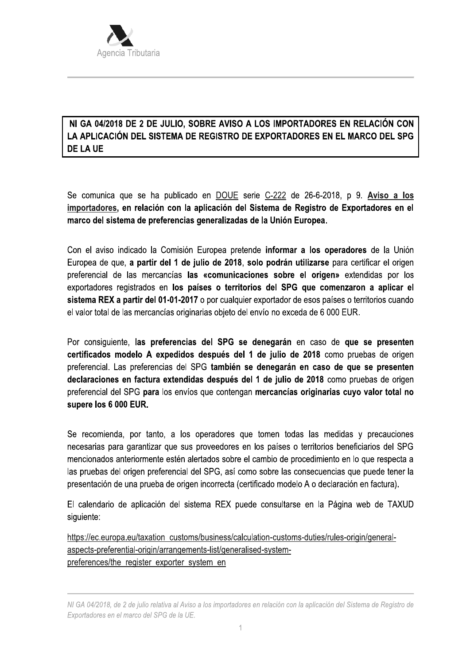

## NI GA 04/2018 DE 2 DE JULIO, SOBRE AVISO A LOS IMPORTADORES EN RELACIÓN CON LA APLICACIÓN DEL SISTEMA DE REGISTRO DE EXPORTADORES EN EL MARCO DEL SPG **DE LA UE**

Se comunica que se ha publicado en DOUE serie C-222 de 26-6-2018, p 9. Aviso a los importadores, en relación con la aplicación del Sistema de Registro de Exportadores en el marco del sistema de preferencias generalizadas de la Unión Europea.

Con el aviso indicado la Comisión Europea pretende **informar a los operadores** de la Unión Europea de que, a partir del 1 de julio de 2018, solo podrán utilizarse para certificar el origen preferencial de las mercancías las «comunicaciones sobre el origen» extendidas por los exportadores registrados en los países o territorios del SPG que comenzaron a aplicar el sistema REX a partir del 01-01-2017 o por cualquier exportador de esos países o territorios cuando el valor total de las mercancías originarias objeto del envío no exceda de 6 000 EUR.

Por consiguiente, las preferencias del SPG se denegarán en caso de que se presenten certificados modelo A expedidos después del 1 de julio de 2018 como pruebas de origen preferencial. Las preferencias del SPG también se denegarán en caso de que se presenten declaraciones en factura extendidas después del 1 de julio de 2018 como pruebas de origen preferencial del SPG para los envíos que contengan mercancías originarias cuyo valor total no supere los 6 000 EUR.

Se recomienda, por tanto, a los operadores que tomen todas las medidas y precauciones necesarias para garantizar que sus proveedores en los países o territorios beneficiarios del SPG mencionados anteriormente estén alertados sobre el cambio de procedimiento en lo que respecta a las pruebas del origen preferencial del SPG, así como sobre las consecuencias que puede tener la presentación de una prueba de origen incorrecta (certificado modelo A o declaración en factura).

El calendario de aplicación del sistema REX puede consultarse en la Página web de TAXUD siguiente:

https://ec.europa.eu/taxation\_customs/business/calculation-customs-duties/rules-origin/generalaspects-preferential-origin/arrangements-list/generalised-systempreferences/the register exporter system en

NI GA 04/2018, de 2 de julio relativa al Aviso a los importadores en relación con la aplicación del Sistema de Registro de Exportadores en el marco del SPG de la UE.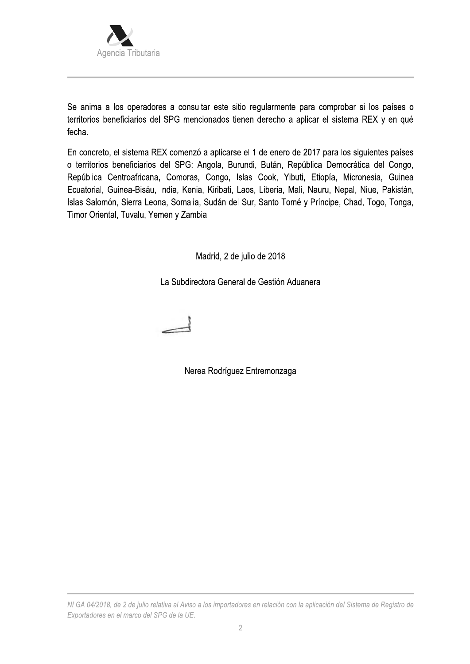

Se anima a los operadores a consultar este sitio regularmente para comprobar si los países o territorios beneficiarios del SPG mencionados tienen derecho a aplicar el sistema REX y en qué fecha.

En concreto, el sistema REX comenzó a aplicarse el 1 de enero de 2017 para los siguientes países o territorios beneficiarios del SPG: Angola, Burundi, Bután, República Democrática del Congo, República Centroafricana, Comoras, Congo, Islas Cook, Yibuti, Etiopía, Micronesia, Guinea Ecuatorial, Guinea-Bisáu, India, Kenia, Kiribati, Laos, Liberia, Mali, Nauru, Nepal, Niue, Pakistán, Islas Salomón, Sierra Leona, Somalia, Sudán del Sur, Santo Tomé y Príncipe, Chad, Togo, Tonga, Timor Oriental, Tuvalu, Yemen y Zambia.

Madrid, 2 de julio de 2018

La Subdirectora General de Gestión Aduanera



Nerea Rodríguez Entremonzaga

NI GA 04/2018, de 2 de julio relativa al Aviso a los importadores en relación con la aplicación del Sistema de Registro de Exportadores en el marco del SPG de la UE.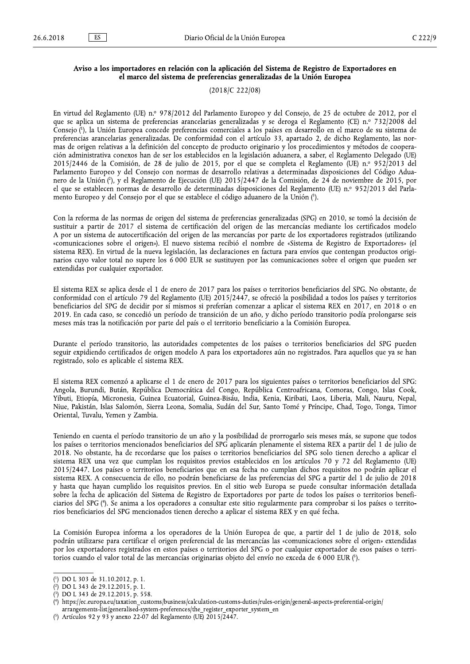$\mathsf{E}$ 

## Aviso a los importadores en relación con la aplicación del Sistema de Registro de Exportadores en el marco del sistema de preferencias generalizadas de la Unión Europea

 $(2018/C 222/08)$ 

En virtud del Reglamento (UE) n.º 978/2012 del Parlamento Europeo y del Consejo, de 25 de octubre de 2012, por el que se aplica un sistema de preferencias arancelarias generalizadas y se deroga el Reglamento (CE) n.º 732/2008 del Consejo (1), la Unión Europea concede preferencias comerciales a los países en desarrollo en el marco de su sistema de preferencias arancelarias generalizadas. De conformidad con el artículo 33, apartado 2, de dicho Reglamento, las normas de origen relativas a la definición del concepto de producto originario y los procedimientos y métodos de cooperación administrativa conexos han de ser los establecidos en la legislación aduanera, a saber, el Reglamento Delegado (UE) 2015/2446 de la Comisión, de 28 de julio de 2015, por el que se completa el Reglamento (UE) n.º 952/2013 del Parlamento Europeo y del Consejo con normas de desarrollo relativas a determinadas disposiciones del Código Aduanero de la Unión (2), y el Reglamento de Ejecución (UE) 2015/2447 de la Comisión, de 24 de noviembre de 2015, por el que se establecen normas de desarrollo de determinadas disposiciones del Reglamento (UE) n.º 952/2013 del Parlamento Europeo y del Consejo por el que se establece el código aduanero de la Unión (3).

Con la reforma de las normas de origen del sistema de preferencias generalizadas (SPG) en 2010, se tomó la decisión de sustituir a partir de 2017 el sistema de certificación del origen de las mercancías mediante los certificados modelo A por un sistema de autocertificación del origen de las mercancías por parte de los exportadores registrados (utilizando «comunicaciones sobre el origen»). El nuevo sistema recibió el nombre de «Sistema de Registro de Exportadores» (el sistema REX). En virtud de la nueva legislación, las declaraciones en factura para envíos que contengan productos originarios cuyo valor total no supere los 6 000 EUR se sustituyen por las comunicaciones sobre el origen que pueden ser extendidas por cualquier exportador.

El sistema REX se aplica desde el 1 de enero de 2017 para los países o territorios beneficiarios del SPG. No obstante, de conformidad con el artículo 79 del Reglamento (UE) 2015/2447, se ofreció la posibilidad a todos los países y territorios beneficiarios del SPG de decidir por sí mismos si preferían comenzar a aplicar el sistema REX en 2017, en 2018 o en 2019. En cada caso, se concedió un período de transición de un año, y dicho período transitorio podía prolongarse seis meses más tras la notificación por parte del país o el territorio beneficiario a la Comisión Europea.

Durante el período transitorio, las autoridades competentes de los países o territorios beneficiarios del SPG pueden seguir expidiendo certificados de origen modelo A para los exportadores aún no registrados. Para aquellos que ya se han registrado, solo es aplicable el sistema REX.

El sistema REX comenzó a aplicarse el 1 de enero de 2017 para los siguientes países o territorios beneficiarios del SPG: Angola, Burundi, Bután, República Democrática del Congo, República Centroafricana, Comoras, Congo, Islas Cook, Yibuti, Etiopía, Micronesia, Guinea Ecuatorial, Guinea-Bisáu, India, Kenia, Kiribati, Laos, Liberia, Mali, Nauru, Nepal, Niue, Pakistán, Islas Salomón, Sierra Leona, Somalia, Sudán del Sur, Santo Tomé y Príncipe, Chad, Togo, Tonga, Timor Oriental, Tuvalu, Yemen y Zambia.

Teniendo en cuenta el período transitorio de un año y la posibilidad de prorrogarlo seis meses más, se supone que todos los países o territorios mencionados beneficiarios del SPG aplicarán plenamente el sistema REX a partir del 1 de julio de 2018. No obstante, ha de recordarse que los países o territorios beneficiarios del SPG solo tienen derecho a aplicar el sistema REX una vez que cumplan los requisitos previos establecidos en los artículos 70 y 72 del Reglamento (UE) 2015/2447. Los países o territorios beneficiarios que en esa fecha no cumplan dichos requisitos no podrán aplicar el sistema REX. A consecuencia de ello, no podrán beneficiarse de las preferencias del SPG a partir del 1 de julio de 2018 y hasta que hayan cumplido los requisitos previos. En el sitio web Europa se puede consultar información detallada sobre la fecha de aplicación del Sistema de Registro de Exportadores por parte de todos los países o territorios beneficiarios del SPG (4). Se anima a los operadores a consultar este sitio regularmente para comprobar si los países o territorios beneficiarios del SPG mencionados tienen derecho a aplicar el sistema REX y en qué fecha.

La Comisión Europea informa a los operadores de la Unión Europea de que, a partir del 1 de julio de 2018, solo podrán utilizarse para certificar el origen preferencial de las mercancías las «comunicaciones sobre el origen» extendidas por los exportadores registrados en estos países o territorios del SPG o por cualquier exportador de esos países o territorios cuando el valor total de las mercancías originarias objeto del envío no exceda de 6 000 EUR (5).

<sup>(1)</sup> DO L 303 de 31.10.2012, p. 1.

 $(2)$  DO L 343 de 29.12.2015, p. 1.

<sup>(?)</sup> DO L 343 de 29.12.2015, p. 558.

https://ec.europa.eu/taxation\_customs/business/calculation-customs-duties/rules-origin/general-aspects-preferential-origin/ arrangements-list/generalised-system-preferences/the\_register\_exporter\_system\_en

Artículos 92 y 93 y anexo 22-07 del Reglamento (UE)  $2015\overline{)2447}$ .